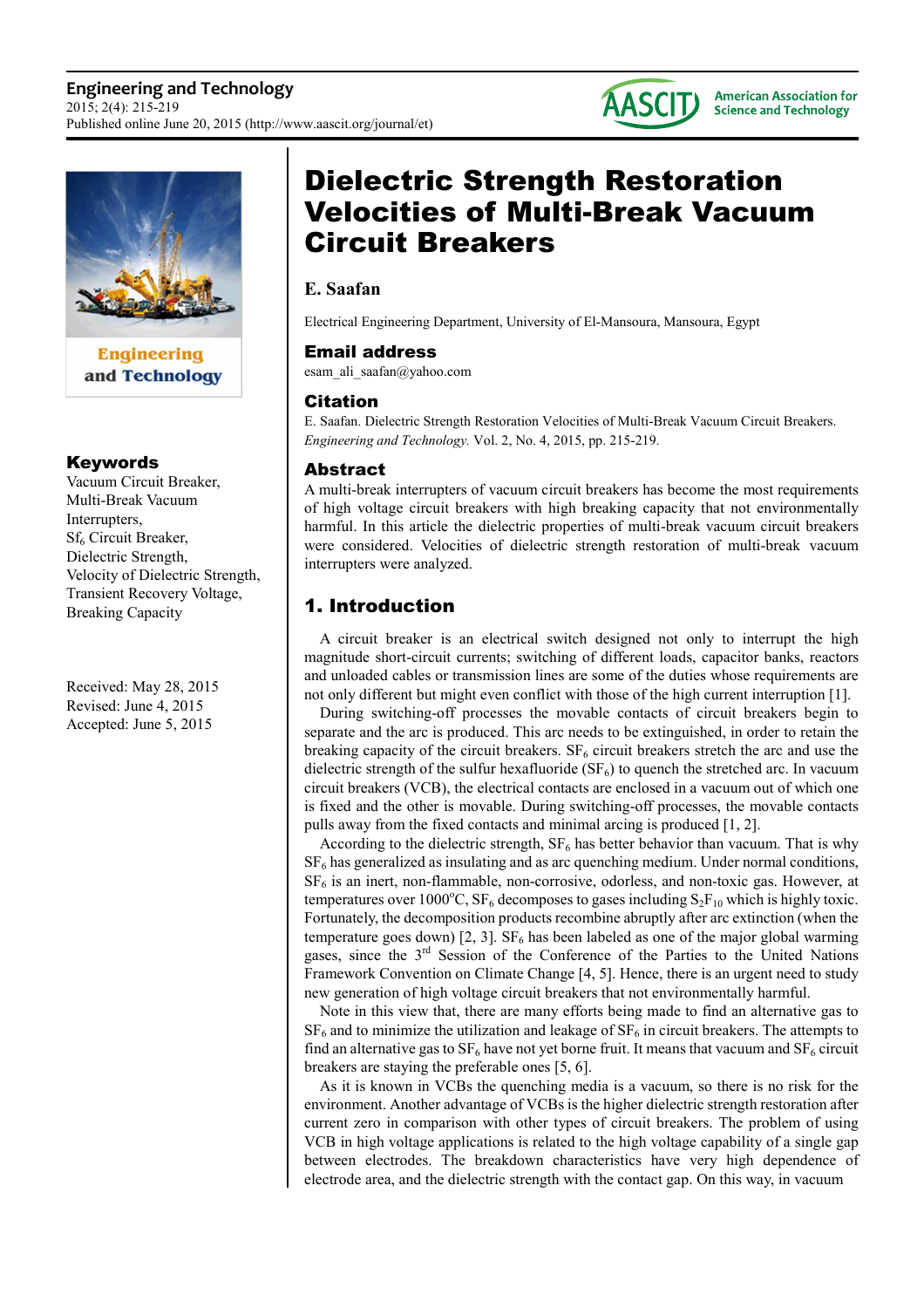

**Engineering** and Technology

### Keywords

Vacuum Circuit Breaker, Multi-Break Vacuum Interrupters, Sf<sub>6</sub> Circuit Breaker, Dielectric Strength, Velocity of Dielectric Strength, Transient Recovery Voltage, Breaking Capacity

Received: May 28, 2015 Revised: June 4, 2015 Accepted: June 5, 2015

# Dielectric Strength Restoration Velocities of Multi-Break Vacuum Circuit Breakers

## **E. Saafan**

Electrical Engineering Department, University of El-Mansoura, Mansoura, Egypt

### Email address

esam ali saafan@yahoo.com

### Citation

E. Saafan. Dielectric Strength Restoration Velocities of Multi-Break Vacuum Circuit Breakers. *Engineering and Technology.* Vol. 2, No. 4, 2015, pp. 215-219.

### Abstract

A multi-break interrupters of vacuum circuit breakers has become the most requirements of high voltage circuit breakers with high breaking capacity that not environmentally harmful. In this article the dielectric properties of multi-break vacuum circuit breakers were considered. Velocities of dielectric strength restoration of multi-break vacuum interrupters were analyzed.

# 1. Introduction

A circuit breaker is an electrical switch designed not only to interrupt the high magnitude short-circuit currents; switching of different loads, capacitor banks, reactors and unloaded cables or transmission lines are some of the duties whose requirements are not only different but might even conflict with those of the high current interruption [1].

During switching-off processes the movable contacts of circuit breakers begin to separate and the arc is produced. This arc needs to be extinguished, in order to retain the breaking capacity of the circuit breakers.  $SF_6$  circuit breakers stretch the arc and use the dielectric strength of the sulfur hexafluoride  $(SF_6)$  to quench the stretched arc. In vacuum circuit breakers (VCB), the electrical contacts are enclosed in a vacuum out of which one is fixed and the other is movable. During switching-off processes, the movable contacts pulls away from the fixed contacts and minimal arcing is produced [1, 2].

According to the dielectric strength,  $SF<sub>6</sub>$  has better behavior than vacuum. That is why  $SF<sub>6</sub>$  has generalized as insulating and as arc quenching medium. Under normal conditions,  $SF<sub>6</sub>$  is an inert, non-flammable, non-corrosive, odorless, and non-toxic gas. However, at temperatures over 1000°C,  $SF_6$  decomposes to gases including  $S_2F_{10}$  which is highly toxic. Fortunately, the decomposition products recombine abruptly after arc extinction (when the temperature goes down) [2, 3].  $SF_6$  has been labeled as one of the major global warming gases, since the  $3<sup>rd</sup>$  Session of the Conference of the Parties to the United Nations Framework Convention on Climate Change [4, 5]. Hence, there is an urgent need to study new generation of high voltage circuit breakers that not environmentally harmful.

Note in this view that, there are many efforts being made to find an alternative gas to  $SF<sub>6</sub>$  and to minimize the utilization and leakage of  $SF<sub>6</sub>$  in circuit breakers. The attempts to find an alternative gas to  $SF_6$  have not yet borne fruit. It means that vacuum and  $SF_6$  circuit breakers are staying the preferable ones [5, 6].

As it is known in VCBs the quenching media is a vacuum, so there is no risk for the environment. Another advantage of VCBs is the higher dielectric strength restoration after current zero in comparison with other types of circuit breakers. The problem of using VCB in high voltage applications is related to the high voltage capability of a single gap between electrodes. The breakdown characteristics have very high dependence of electrode area, and the dielectric strength with the contact gap. On this way, in vacuum

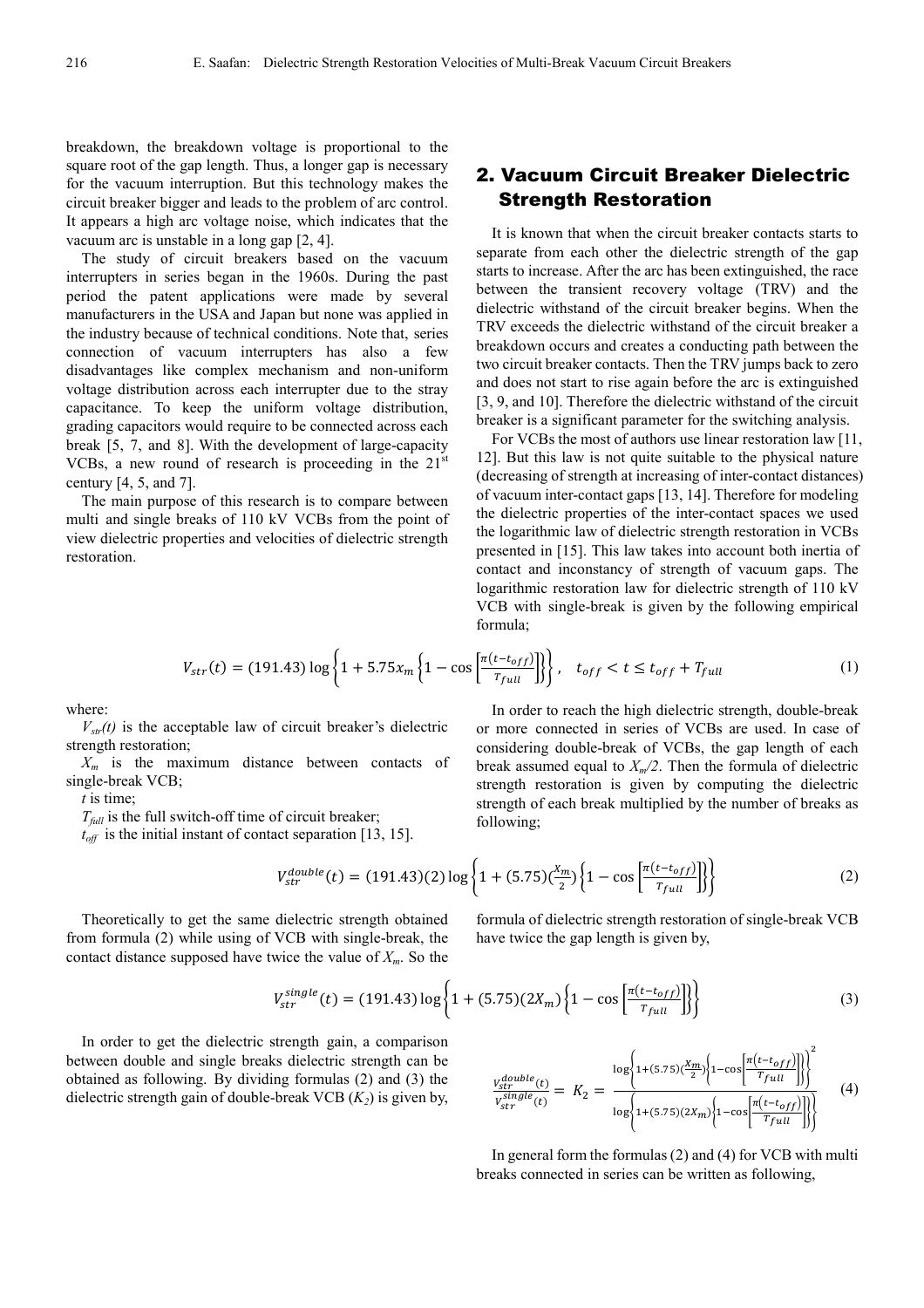breakdown, the breakdown voltage is proportional to the square root of the gap length. Thus, a longer gap is necessary for the vacuum interruption. But this technology makes the circuit breaker bigger and leads to the problem of arc control. It appears a high arc voltage noise, which indicates that the vacuum arc is unstable in a long gap [2, 4].

The study of circuit breakers based on the vacuum interrupters in series began in the 1960s. During the past period the patent applications were made by several manufacturers in the USA and Japan but none was applied in the industry because of technical conditions. Note that, series connection of vacuum interrupters has also a few disadvantages like complex mechanism and non-uniform voltage distribution across each interrupter due to the stray capacitance. To keep the uniform voltage distribution, grading capacitors would require to be connected across each break [5, 7, and 8]. With the development of large-capacity VCBs, a new round of research is proceeding in the  $21<sup>st</sup>$ century  $[4, 5,$  and  $7]$ .

The main purpose of this research is to compare between multi and single breaks of 110 kV VCBs from the point of view dielectric properties and velocities of dielectric strength restoration.

# 2. Vacuum Circuit Breaker Dielectric Strength Restoration

It is known that when the circuit breaker contacts starts to separate from each other the dielectric strength of the gap starts to increase. After the arc has been extinguished, the race between the transient recovery voltage (TRV) and the dielectric withstand of the circuit breaker begins. When the TRV exceeds the dielectric withstand of the circuit breaker a breakdown occurs and creates a conducting path between the two circuit breaker contacts. Then the TRV jumps back to zero and does not start to rise again before the arc is extinguished [3, 9, and 10]. Therefore the dielectric withstand of the circuit breaker is a significant parameter for the switching analysis.

For VCBs the most of authors use linear restoration law [11, 12]. But this law is not quite suitable to the physical nature (decreasing of strength at increasing of inter-contact distances) of vacuum inter-contact gaps [13, 14]. Therefore for modeling the dielectric properties of the inter-contact spaces we used the logarithmic law of dielectric strength restoration in VCBs presented in [15]. This law takes into account both inertia of contact and inconstancy of strength of vacuum gaps. The logarithmic restoration law for dielectric strength of 110 kV VCB with single-break is given by the following empirical formula;

$$
V_{str}(t) = (191.43) \log \left\{ 1 + 5.75 x_m \left\{ 1 - \cos \left[ \frac{\pi (t - t_{off})}{T_{full}} \right] \right\} \right\}, \quad t_{off} < t \le t_{off} + T_{full} \tag{1}
$$

where:

 $V_{\text{str}}(t)$  is the acceptable law of circuit breaker's dielectric strength restoration;

*Xm* is the maximum distance between contacts of single-break VCB;

*t* is time;

 $T_{\text{full}}$  is the full switch-off time of circuit breaker;

 $t_{off}$  is the initial instant of contact separation [13, 15].

considering double-break of VCBs, the gap length of each break assumed equal to *Xm/2*. Then the formula of dielectric strength restoration is given by computing the dielectric strength of each break multiplied by the number of breaks as following;

In order to reach the high dielectric strength, double-break or more connected in series of VCBs are used. In case of

$$
V_{str}^{double}(t) = (191.43)(2) \log \left\{ 1 + (5.75) \left( \frac{x_m}{2} \right) \left\{ 1 - \cos \left[ \frac{\pi (t - t_{off})}{T_{full}} \right] \right\} \right\}
$$
(2)

Theoretically to get the same dielectric strength obtained from formula (2) while using of VCB with single-break, the contact distance supposed have twice the value of *Xm*. So the

formula of dielectric strength restoration of single-break VCB have twice the gap length is given by,

$$
V_{str}^{single}(t) = (191.43) \log \left\{ 1 + (5.75)(2X_m) \left\{ 1 - \cos \left[ \frac{\pi (t - t_{off})}{T_{full}} \right] \right\} \right\}
$$
(3)

In order to get the dielectric strength gain, a comparison between double and single breaks dielectric strength can be obtained as following. By dividing formulas (2) and (3) the dielectric strength gain of double-breaking VCB 
$$
(K_2)
$$
 is given by,

$$
\frac{v_{str}^{double}(t)}{v_{str}^{single}(t)} = K_2 = \frac{\log\left\{1 + (5.75)\left(\frac{X_m}{2}\right) \left\{1 - \cos\left[\frac{\pi\left(t - t_{off}\right)}{T_{full}}\right]\right\}\right\}^2}{\log\left\{1 + (5.75)\left(2X_m\right) \left\{1 - \cos\left[\frac{\pi\left(t - t_{off}\right)}{T_{full}}\right]\right\}\right\}}
$$
(4)

In general form the formulas (2) and (4) for VCB with multi breaks connected in series can be written as following,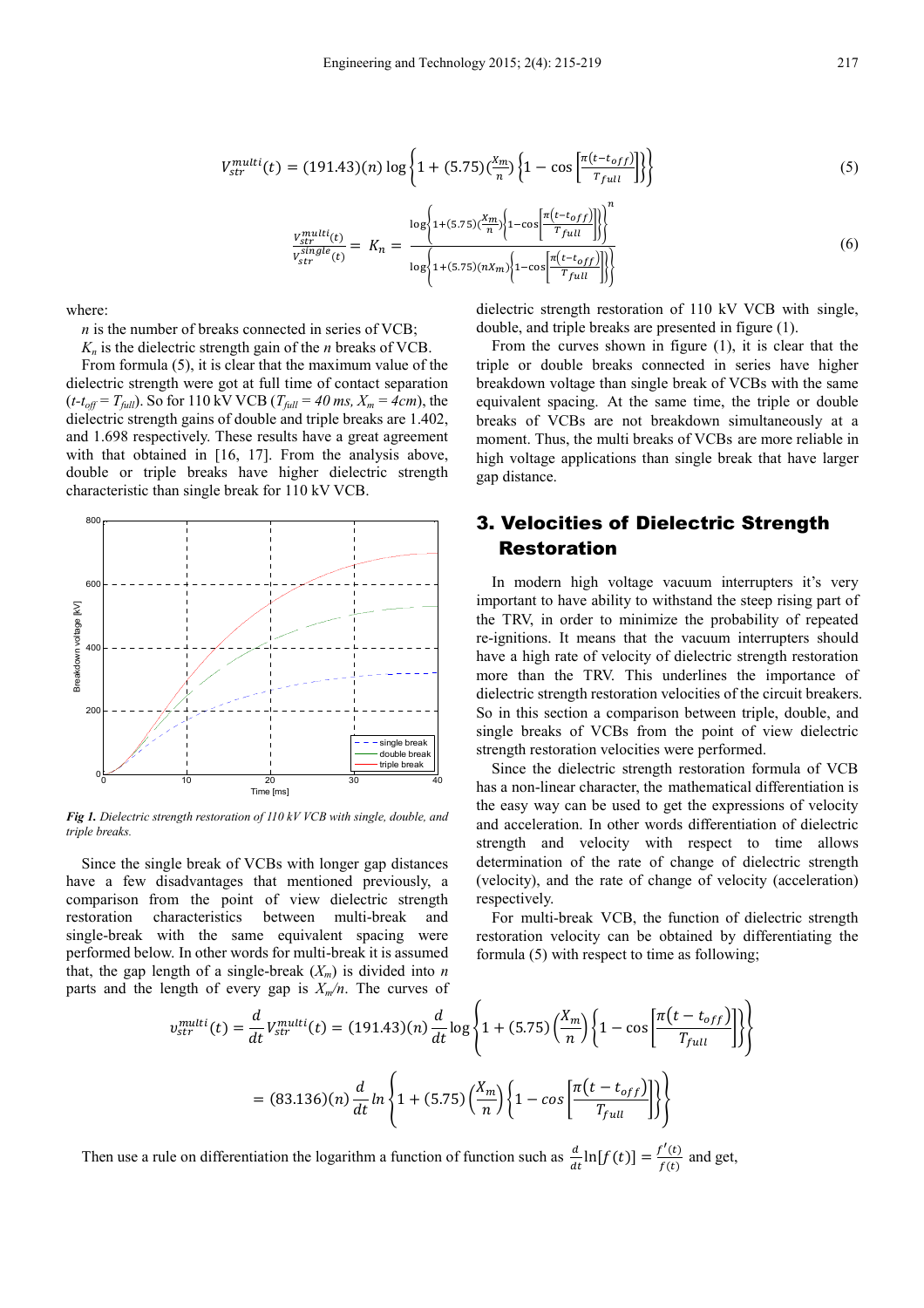$$
V_{str}^{multi}(t) = (191.43)(n) \log \left\{ 1 + (5.75) \left( \frac{x_m}{n} \right) \left\{ 1 - \cos \left[ \frac{\pi (t - t_{off})}{T_{full}} \right] \right\} \right\}
$$
(5)

$$
\frac{v_{str}^{multi}(t)}{v_{str}^{single}(t)} = K_n = \frac{\log\left\{1 + (5.75)\left(\frac{X_m}{n}\right)\left(1 - \cos\left[\frac{\pi\left(t - t_{off}\right)}{T_{full}}\right]\right)\right\}}{\log\left\{1 + (5.75)\left(\frac{X_m}{n}\right)\left(1 - \cos\left[\frac{\pi\left(t - t_{off}\right)}{T_{full}}\right]\right)\right\}}
$$
(6)

where:

*n* is the number of breaks connected in series of VCB;

 $K_n$  is the dielectric strength gain of the *n* breaks of VCB. From formula (5), it is clear that the maximum value of the dielectric strength were got at full time of contact separation  $(t-t_{off} = T_{full})$ . So for 110 kV VCB ( $T_{full} = 40$  ms,  $X_m = 4cm$ ), the dielectric strength gains of double and triple breaks are 1.402, and 1.698 respectively. These results have a great agreement with that obtained in [16, 17]. From the analysis above, double or triple breaks have higher dielectric strength characteristic than single break for 110 kV VCB.



*Fig 1. Dielectric strength restoration of 110 kV VCB with single, double, and triple breaks.* 

Since the single break of VCBs with longer gap distances have a few disadvantages that mentioned previously, a comparison from the point of view dielectric strength restoration characteristics between multi-break and single-break with the same equivalent spacing were performed below. In other words for multi-break it is assumed that, the gap length of a single-break  $(X_m)$  is divided into *n* parts and the length of every gap is  $X_m/n$ . The curves of dielectric strength restoration of 110 kV VCB with single, double, and triple breaks are presented in figure (1).

From the curves shown in figure (1), it is clear that the triple or double breaks connected in series have higher breakdown voltage than single break of VCBs with the same equivalent spacing. At the same time, the triple or double breaks of VCBs are not breakdown simultaneously at a moment. Thus, the multi breaks of VCBs are more reliable in high voltage applications than single break that have larger gap distance.

# 3. Velocities of Dielectric Strength Restoration

In modern high voltage vacuum interrupters it's very important to have ability to withstand the steep rising part of the TRV, in order to minimize the probability of repeated re-ignitions. It means that the vacuum interrupters should have a high rate of velocity of dielectric strength restoration more than the TRV. This underlines the importance of dielectric strength restoration velocities of the circuit breakers. So in this section a comparison between triple, double, and single breaks of VCBs from the point of view dielectric strength restoration velocities were performed.

Since the dielectric strength restoration formula of VCB has a non-linear character, the mathematical differentiation is the easy way can be used to get the expressions of velocity and acceleration. In other words differentiation of dielectric strength and velocity with respect to time allows determination of the rate of change of dielectric strength (velocity), and the rate of change of velocity (acceleration) respectively.

For multi-break VCB, the function of dielectric strength restoration velocity can be obtained by differentiating the formula (5) with respect to time as following;

$$
v_{str}^{multi}(t) = \frac{d}{dt} V_{str}^{multi}(t) = (191.43)(n) \frac{d}{dt} \log \left\{ 1 + (5.75) \left( \frac{X_m}{n} \right) \left\{ 1 - \cos \left[ \frac{\pi (t - t_{off})}{T_{full}} \right] \right\} \right\}
$$

$$
= (83.136)(n) \frac{d}{dt} \ln \left\{ 1 + (5.75) \left( \frac{X_m}{n} \right) \left\{ 1 - \cos \left[ \frac{\pi (t - t_{off})}{T_{full}} \right] \right\} \right\}
$$

Then use a rule on differentiation the logarithm a function of function such as  $\frac{d}{dt} \ln[f(t)] = \frac{f'(t)}{f(t)}$  $\frac{f(t)}{f(t)}$  and get,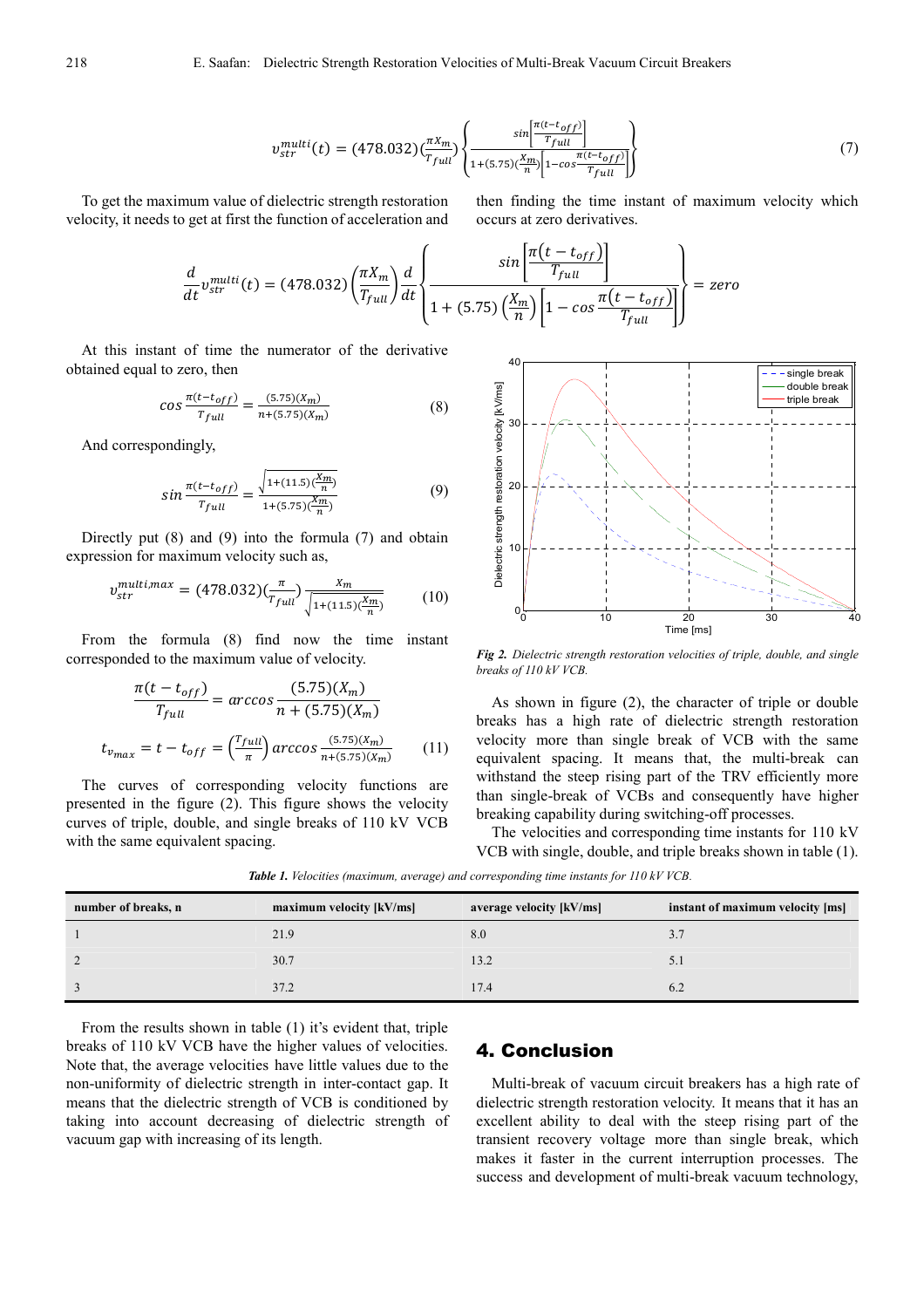$$
v_{str}^{multi}(t) = (478.032) \left(\frac{\pi X_m}{T_{full}}\right) \left\{ \frac{\sin\left[\frac{\pi (t - t_{off})}{T_{full}}\right]}{1 + (5.75) \left(\frac{X_m}{n}\right) \left[1 - \cos\frac{\pi (t - t_{off})}{T_{full}}\right]} \right\}
$$
(7)

To get the maximum value of dielectric strength restoration velocity, it needs to get at first the function of acceleration and

then finding the time instant of maximum velocity which occurs at zero derivatives.

 $\overline{\phantom{0}}$ 

$$
\frac{d}{dt}v_{str}^{multi}(t) = (478.032) \left(\frac{\pi X_m}{T_{full}}\right) \frac{d}{dt} \left\{\frac{\sin\left[\frac{\pi (t - t_{off})}{T_{full}}\right]}{1 + (5.75) \left(\frac{X_m}{n}\right) \left[1 - \cos\frac{\pi (t - t_{off})}{T_{full}}\right]}\right\} = zero
$$

At this instant of time the numerator of the derivative obtained equal to zero, then

$$
\cos \frac{\pi (t - t_{off})}{T_{full}} = \frac{(5.75)(X_m)}{n + (5.75)(X_m)}\tag{8}
$$

And correspondingly,

$$
sin \frac{\pi (t - t_{off})}{T_{full}} = \frac{\sqrt{1 + (11.5)(\frac{X_m}{n})}}{1 + (5.75)(\frac{X_m}{n})}
$$
(9)

Directly put (8) and (9) into the formula (7) and obtain expression for maximum velocity such as,

$$
v_{str}^{multi,max} = (478.032)(\frac{\pi}{r_{full}}) \frac{x_m}{\sqrt{1 + (11.5)(\frac{x_m}{n})}}
$$
(10)

From the formula (8) find now the time instant corresponded to the maximum value of velocity.

$$
\frac{\pi(t - t_{off})}{T_{full}} = \arccos \frac{(5.75)(X_m)}{n + (5.75)(X_m)}
$$

$$
t_{v_{max}} = t - t_{off} = \left(\frac{T_{full}}{\pi}\right) \arccos \frac{(5.75)(X_m)}{n + (5.75)(X_m)} \tag{11}
$$

The curves of corresponding velocity functions are presented in the figure (2). This figure shows the velocity curves of triple, double, and single breaks of 110 kV VCB with the same equivalent spacing.



*Fig 2. Dielectric strength restoration velocities of triple, double, and single breaks of 110 kV VCB.* 

As shown in figure (2), the character of triple or double breaks has a high rate of dielectric strength restoration velocity more than single break of VCB with the same equivalent spacing. It means that, the multi-break can withstand the steep rising part of the TRV efficiently more than single-break of VCBs and consequently have higher breaking capability during switching-off processes.

The velocities and corresponding time instants for 110 kV VCB with single, double, and triple breaks shown in table (1).

*Table 1. Velocities (maximum, average) and corresponding time instants for 110 kV VCB.* 

| number of breaks, n | maximum velocity [kV/ms] | average velocity [kV/ms] | instant of maximum velocity [ms] |
|---------------------|--------------------------|--------------------------|----------------------------------|
|                     | 21.9                     | 8.0                      |                                  |
|                     | 30.7                     | 13.2                     |                                  |
|                     | 37.2                     | 17.4                     | 6.2                              |

From the results shown in table (1) it's evident that, triple breaks of 110 kV VCB have the higher values of velocities. Note that, the average velocities have little values due to the non-uniformity of dielectric strength in inter-contact gap. It means that the dielectric strength of VCB is conditioned by taking into account decreasing of dielectric strength of vacuum gap with increasing of its length.

### 4. Conclusion

Multi-break of vacuum circuit breakers has a high rate of dielectric strength restoration velocity. It means that it has an excellent ability to deal with the steep rising part of the transient recovery voltage more than single break, which makes it faster in the current interruption processes. The success and development of multi-break vacuum technology,